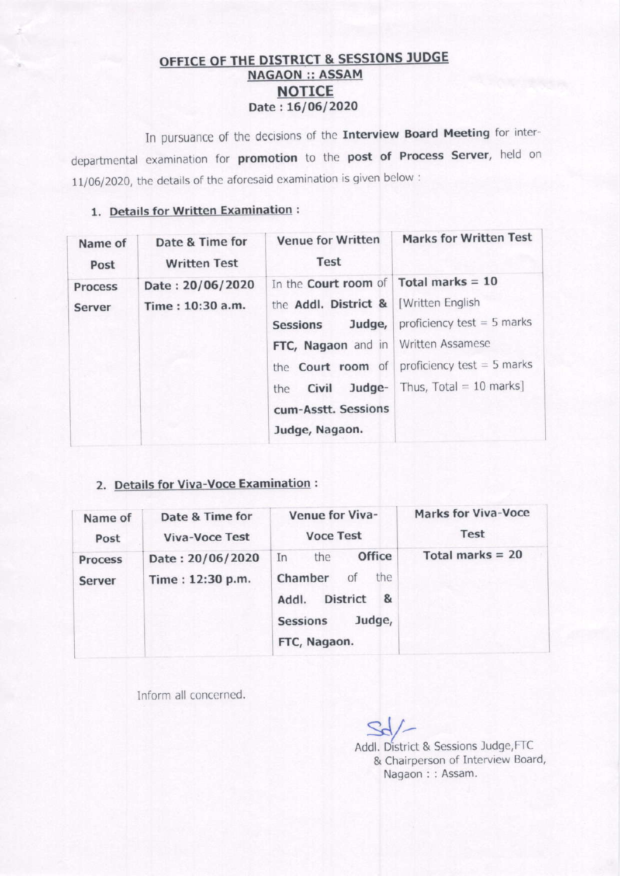## OFFICE OF THE DISTRICT & SESSIONS JUDGE<br>NAGAON :: ASSAM NOTICE Date: 16/06/2020

In pursuance of the decisions of the Interview Board Meeting for interdepartmental examination for promotion to the post of Process Server, held on 11/06/2020, the details of the aforesaid examination is given below :

## 1. Details for Written Examination :

| Name of                         | Date & Time for                      | <b>Venue for Written</b>                                                                                                                                                            | <b>Marks for Written Test</b>                                                                                                                            |
|---------------------------------|--------------------------------------|-------------------------------------------------------------------------------------------------------------------------------------------------------------------------------------|----------------------------------------------------------------------------------------------------------------------------------------------------------|
| Post                            | <b>Written Test</b>                  | <b>Test</b>                                                                                                                                                                         |                                                                                                                                                          |
| <b>Process</b><br><b>Server</b> | Date: 20/06/2020<br>Time: 10:30 a.m. | In the Court room of<br>the Addl. District &<br>Judge,<br><b>Sessions</b><br>FTC, Nagaon and in Written Assamese<br>Judge-<br>Civil<br>the<br>cum-Asstt. Sessions<br>Judge, Nagaon. | Total marks $= 10$<br>Written English<br>proficiency test $=$ 5 marks<br>the <b>Court room</b> of proficiency test = 5 marks<br>Thus, $Total = 10 marks$ |

## 2. Details for Viva-Voce Examination :

| Name of                         | Date & Time for                      | Venue for Viva-                                                                                                                  | <b>Marks for Viva-Voce</b> |
|---------------------------------|--------------------------------------|----------------------------------------------------------------------------------------------------------------------------------|----------------------------|
| Post                            | <b>Viva-Voce Test</b>                | <b>Voce Test</b>                                                                                                                 | Test                       |
| <b>Process</b><br><b>Server</b> | Date: 20/06/2020<br>Time: 12:30 p.m. | <b>Office</b><br>the<br>In<br>Chamber<br>the<br>ΟŤ<br><b>District</b><br>&<br>Addl.<br>Judge,<br><b>Sessions</b><br>FTC, Nagaon. | Total marks $= 20$         |

Inform all concerned.

 $skr-$ 

Addl. District & Sessions Judge,FTC & Chairpcrson of Interview Board, Nagaon: : Assam.